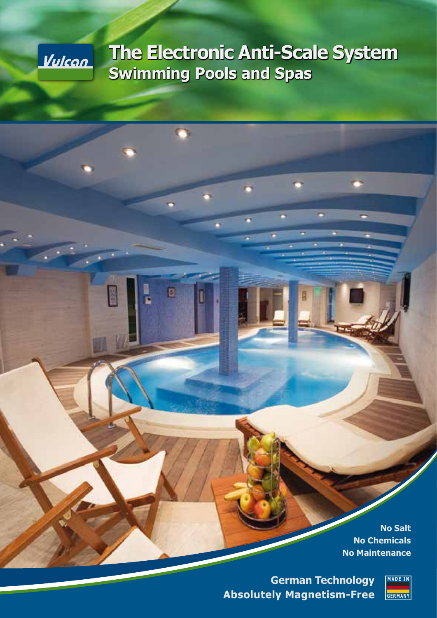

# **The Electronic Anti-Scale System Swimming Pools and Spas**

ö

o

**No Salt No Chemicals No Maintenance**

**German Technology Absolutely Magnetism-Free**

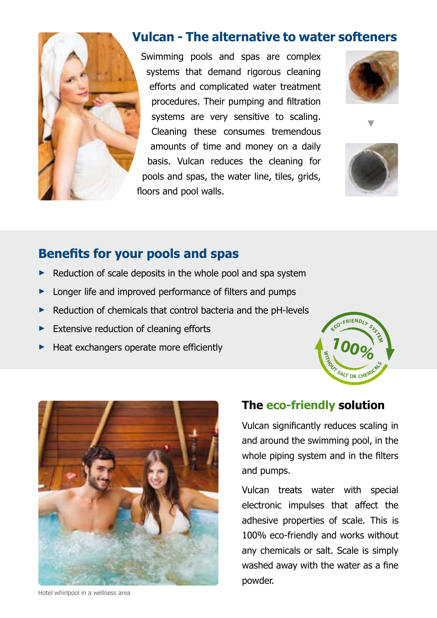

## **Vulcan - The alternative to water softeners**

Swimming pools and spas are complex systems that demand rigorous cleaning efforts and complicated water treatment procedures. Their pumping and filtration systems are very sensitive to scaling. Cleaning these consumes tremendous amounts of time and money on a daily basis. Vulcan reduces the cleaning for pools and spas, the water line, tiles, grids, floors and pool walls.





## **Benefits for your pools and spas**

- **►** Reduction of scale deposits in the whole pool and spa system
- Longer life and improved performance of filters and pumps
- **►** Reduction of chemicals that control bacteria and the pH-levels
- **►** Extensive reduction of cleaning efforts
- **►** Heat exchangers operate more efficiently





### Hotel whirlpool in a wellness area

### **The eco-friendly solution**

Vulcan significantly reduces scaling in and around the swimming pool, in the whole piping system and in the filters and pumps.

Vulcan treats water with special electronic impulses that affect the adhesive properties of scale. This is 100% eco-friendly and works without any chemicals or salt. Scale is simply washed away with the water as a fine powder.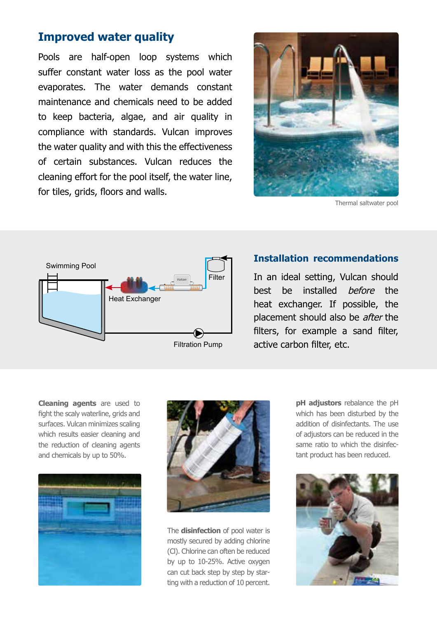### **Improved water quality**

Pools are half-open loop systems which suffer constant water loss as the pool water evaporates. The water demands constant maintenance and chemicals need to be added to keep bacteria, algae, and air quality in compliance with standards. Vulcan improves the water quality and with this the effectiveness of certain substances. Vulcan reduces the cleaning effort for the pool itself, the water line, for tiles, grids, floors and walls.



Thermal saltwater pool



### **Installation recommendations**

In an ideal setting, Vulcan should best be installed before the heat exchanger. If possible, the placement should also be *after* the filters, for example a sand filter, active carbon filter, etc.

**Cleaning agents** are used to fight the scaly waterline, grids and surfaces. Vulcan minimizes scaling which results easier cleaning and the reduction of cleaning agents and chemicals by up to 50%.





The **disinfection** of pool water is mostly secured by adding chlorine (Cl). Chlorine can often be reduced by up to 10-25%. Active oxygen can cut back step by step by starting with a reduction of 10 percent.

**pH adjustors** rebalance the pH which has been disturbed by the addition of disinfectants. The use of adjustors can be reduced in the same ratio to which the disinfectant product has been reduced.